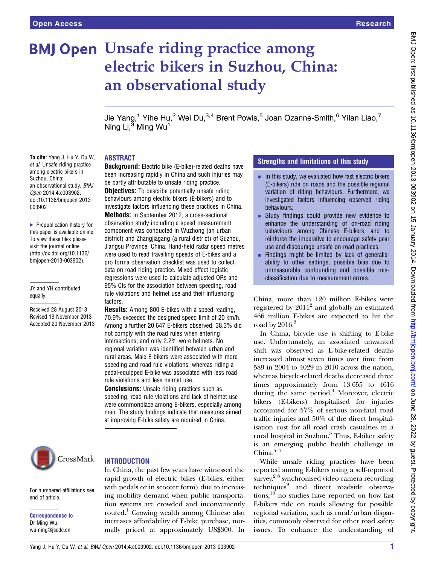# **BMJ Open Unsafe riding practice among** electric bikers in Suzhou, China: an observational study

Jie Yang,<sup>1</sup> Yihe Hu,<sup>2</sup> Wei Du,<sup>3,4</sup> Brent Powis,<sup>5</sup> Joan Ozanne-Smith,<sup>6</sup> Yilan Liao,<sup>7</sup> Ning  $Li<sup>3</sup>$  Ming Wu<sup>1</sup>

## ABSTRACT

To cite: Yang J, Hu Y, Du W, et al. Unsafe riding practice among electric bikers in Suzhou, China: an observational study. BMJ Open 2014;4:e003902. doi:10.1136/bmjopen-2013- 003902

▶ Prepublication history for this paper is available online. To view these files please visit the journal online [\(http://dx.doi.org/10.1136/](http://dx.doi.org/10.1136/bmjopen-2013-003902) [bmjopen-2013-003902](http://dx.doi.org/10.1136/bmjopen-2013-003902)).

JY and YH contributed equally.

Received 28 August 2013 Revised 19 November 2013 Accepted 20 November 2013 **Background:** Electric bike (E-bike)-related deaths have been increasing rapidly in China and such injuries may be partly attributable to unsafe riding practice. **Objectives:** To describe potentially unsafe riding behaviours among electric bikers (E-bikers) and to investigate factors influencing these practices in China. Methods: In September 2012, a cross-sectional observation study including a speed measurement component was conducted in Wuzhong (an urban district) and Zhangjiagang (a rural district) of Suzhou, Jiangsu Province, China. Hand-held radar speed metres were used to read travelling speeds of E-bikes and a pro forma observation checklist was used to collect data on road riding practice. Mixed-effect logistic regressions were used to calculate adjusted ORs and 95% CIs for the association between speeding, road rule violations and helmet use and their influencing **factors** 

**Results:** Among 800 E-bikes with a speed reading, 70.9% exceeded the designed speed limit of 20 km/h. Among a further 20 647 E-bikers observed, 38.3% did not comply with the road rules when entering intersections; and only 2.2% wore helmets. No regional variation was identified between urban and rural areas. Male E-bikers were associated with more speeding and road rule violations, whereas riding a pedal-equipped E-bike was associated with less road rule violations and less helmet use.

**Conclusions:** Unsafe riding practices such as speeding, road rule violations and lack of helmet use were commonplace among E-bikers, especially among men. The study findings indicate that measures aimed at improving E-bike safety are required in China.



For numbered affiliations see

end of article.

Correspondence to Dr Ming Wu; wuming@jscdc.cn

## **INTRODUCTION**

In China, the past few years have witnessed the rapid growth of electric bikes (E-bikes; either with pedals or in scooter form) due to increasing mobility demand when public transportation systems are crowded and inconveniently routed.<sup>1</sup> Growing wealth among Chinese also increases affordability of E-bike purchase, normally priced at approximately US\$300. In

## Strengths and limitations of this study

- $\blacksquare$  In this study, we evaluated how fast electric bikers (E-bikers) ride on roads and the possible regional variation of riding behaviours. Furthermore, we investigated factors influencing observed riding behaviours.
- **Example 1** Study findings could provide new evidence to enhance the understanding of on-road riding behaviours among Chinese E-bikers, and to reinforce the imperative to encourage safety gear use and discourage unsafe on-road practices.
- $\blacksquare$  Findings might be limited by lack of generalisability to other settings, possible bias due to unmeasurable confounding and possible misclassification due to measurement errors.

China, more than 120 million E-bikes were registered by  $2011<sup>2</sup>$  and globally an estimated 466 million E-bikes are expected to hit the road by  $2016.<sup>3</sup>$ 

In China, bicycle use is shifting to E-bike use. Unfortunately, an associated unwanted shift was observed as E-bike-related deaths increased almost seven times over time from 589 in 2004 to 4029 in 2010 across the nation, whereas bicycle-related deaths decreased three times approximately from 13 655 to 4616 during the same period. $4$  Moreover, electric bikers (E-bikers) hospitalised for injuries accounted for 57% of serious non-fatal road traffic injuries and 50% of the direct hospitalisation cost for all road crash casualties in a rural hospital in Suzhou.<sup>5</sup> Thus, E-biker safety is an emerging public health challenge in China. $5-7$ 

While unsafe riding practices have been reported among E-bikers using a self-reported survey,<sup>28</sup> synchronised video camera recording techniques<sup>9</sup> and direct roadside observations, $10$  no studies have reported on how fast E-bikers ride on roads allowing for possible regional variation, such as rural/urban disparities, commonly observed for other road safety issues. To enhance the understanding of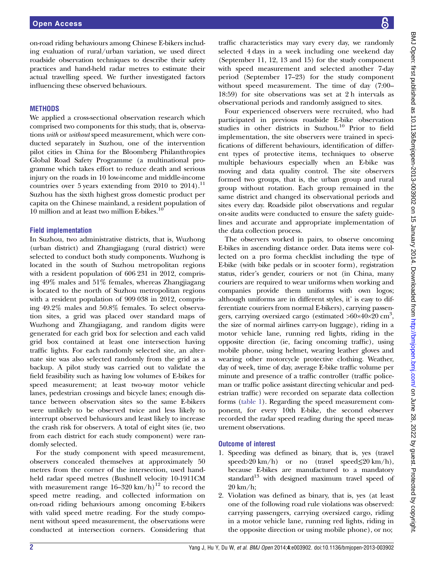on-road riding behaviours among Chinese E-bikers including evaluation of rural/urban variation, we used direct roadside observation techniques to describe their safety practices and hand-held radar metres to estimate their actual travelling speed. We further investigated factors influencing these observed behaviours.

## **METHODS**

We applied a cross-sectional observation research which comprised two components for this study, that is, observations with or without speed measurement, which were conducted separately in Suzhou, one of the intervention pilot cities in China for the Bloomberg Philanthropies Global Road Safety Programme (a multinational programme which takes effort to reduce death and serious injury on the roads in 10 low-income and middle-income countries over 5 years extending from 2010 to  $2014$ ).<sup>11</sup> Suzhou has the sixth highest gross domestic product per capita on the Chinese mainland, a resident population of 10 million and at least two million E-bikes.<sup>10</sup>

### Field implementation

In Suzhou, two administrative districts, that is, Wuzhong (urban district) and Zhangjiagang (rural district) were selected to conduct both study components. Wuzhong is located in the south of Suzhou metropolitan regions with a resident population of 606 231 in 2012, comprising 49% males and 51% females, whereas Zhangjiagang is located to the north of Suzhou metropolitan regions with a resident population of 909 038 in 2012, comprising 49.2% males and 50.8% females. To select observation sites, a grid was placed over standard maps of Wuzhong and Zhangjiagang, and random digits were generated for each grid box for selection and each valid grid box contained at least one intersection having traffic lights. For each randomly selected site, an alternate site was also selected randomly from the grid as a backup. A pilot study was carried out to validate the field feasibility such as having low volumes of E-bikes for speed measurement; at least two-way motor vehicle lanes, pedestrian crossings and bicycle lanes; enough distance between observation sites so the same E-bikers were unlikely to be observed twice and less likely to interrupt observed behaviours and least likely to increase the crash risk for observers. A total of eight sites (ie, two from each district for each study component) were randomly selected.

For the study component with speed measurement, observers concealed themselves at approximately 50 metres from the corner of the intersection, used handheld radar speed metres (Bushnell velocity 10-1911CM with measurement range  $16-320 \text{ km/h}$ <sup>12</sup> to record the speed metre reading, and collected information on on-road riding behaviours among oncoming E-bikers with valid speed metre reading. For the study component without speed measurement, the observations were conducted at intersection corners. Considering that

traffic characteristics may vary every day, we randomly selected 4 days in a week including one weekend day (September 11, 12, 13 and 15) for the study component with speed measurement and selected another 7-day period (September 17–23) for the study component without speed measurement. The time of day (7:00– 18:59) for site observations was set at 2 h intervals as observational periods and randomly assigned to sites.

Four experienced observers were recruited, who had participated in previous roadside E-bike observation studies in other districts in Suzhou.<sup>10</sup> Prior to field implementation, the site observers were trained in specifications of different behaviours, identification of different types of protective items, techniques to observe multiple behaviours especially when an E-bike was moving and data quality control. The site observers formed two groups, that is, the urban group and rural group without rotation. Each group remained in the same district and changed its observational periods and sites every day. Roadside pilot observations and regular on-site audits were conducted to ensure the safety guidelines and accurate and appropriate implementation of the data collection process.

The observers worked in pairs, to observe oncoming E-bikes in ascending distance order. Data items were collected on a pro forma checklist including the type of E-bike (with bike pedals or in scooter form), registration status, rider's gender, couriers or not (in China, many couriers are required to wear uniforms when working and companies provide them uniforms with own logos; although uniforms are in different styles, it' is easy to differentiate couriers from normal E-bikers), carrying passengers, carrying oversized cargo (estimated  $>60 \times 40 \times 20$  cm<sup>3</sup>, the size of normal airlines carry-on luggage), riding in a motor vehicle lane, running red lights, riding in the opposite direction (ie, facing oncoming traffic), using mobile phone, using helmet, wearing leather gloves and wearing other motorcycle protective clothing. Weather, day of week, time of day, average E-bike traffic volume per minute and presence of a traffic controller (traffic policeman or traffic police assistant directing vehicular and pedestrian traffic) were recorded on separate data collection forms (table 1). Regarding the speed measurement component, for every 10th E-bike, the second observer recorded the radar speed reading during the speed measurement observations.

## Outcome of interest

- 1. Speeding was defined as binary, that is, yes (travel speed>20 km/h) or no (travel speed $\leq$ 20 km/h), because E-bikes are manufactured to a mandatory standard $13$  with designed maximum travel speed of 20 km/h;
- 2. Violation was defined as binary, that is, yes (at least one of the following road rule violations was observed: carrying passengers, carrying oversized cargo, riding in a motor vehicle lane, running red lights, riding in the opposite direction or using mobile phone), or no;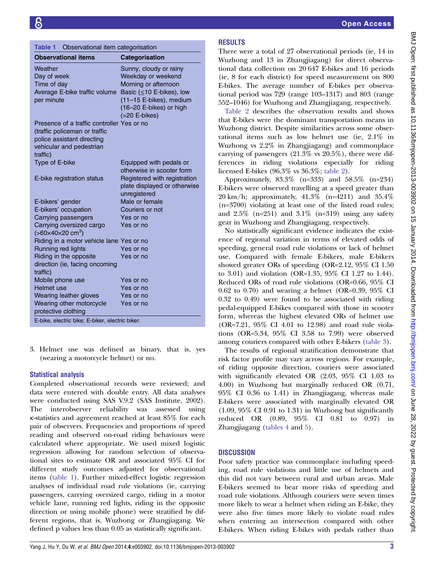| Observational item categorisation<br>Table 1                   |                              |  |  |  |  |
|----------------------------------------------------------------|------------------------------|--|--|--|--|
| <b>Observational items</b>                                     | Categorisation               |  |  |  |  |
| Weather                                                        | Sunny, cloudy or rainy       |  |  |  |  |
| Day of week                                                    | Weekday or weekend           |  |  |  |  |
| Time of day                                                    | Morning or afternoon         |  |  |  |  |
| Average E-bike traffic volume                                  | Basic (≤10 E-bikes), low     |  |  |  |  |
| per minute                                                     | (11-15 E-bikes), medium      |  |  |  |  |
|                                                                | (16-20 E-bikes) or high      |  |  |  |  |
|                                                                | (>20 E-bikes)                |  |  |  |  |
| Presence of a traffic controller Yes or no                     |                              |  |  |  |  |
| (traffic policeman or traffic                                  |                              |  |  |  |  |
| police assistant directing<br>vehicular and pedestrian         |                              |  |  |  |  |
| traffic)                                                       |                              |  |  |  |  |
| Type of E-bike                                                 | Equipped with pedals or      |  |  |  |  |
|                                                                | otherwise in scooter form    |  |  |  |  |
| E-bike registration status                                     | Registered with registration |  |  |  |  |
|                                                                | plate displayed or otherwise |  |  |  |  |
|                                                                | unregistered                 |  |  |  |  |
| E-bikers' gender                                               | Male or female               |  |  |  |  |
| E-bikers' occupation                                           | Couriers or not              |  |  |  |  |
| Carrying passengers                                            | Yes or no                    |  |  |  |  |
| Carrying oversized cargo                                       | Yes or no                    |  |  |  |  |
| $(>60\times40\times20$ cm <sup>3</sup> )                       |                              |  |  |  |  |
| Riding in a motor vehicle lane Yes or no<br>Running red lights | Yes or no                    |  |  |  |  |
| Riding in the opposite                                         | Yes or no                    |  |  |  |  |
| direction (ie, facing oncoming                                 |                              |  |  |  |  |
| traffic)                                                       |                              |  |  |  |  |
| Mobile phone use                                               | Yes or no                    |  |  |  |  |
| Helmet use                                                     | Yes or no                    |  |  |  |  |
| Wearing leather gloves                                         | Yes or no                    |  |  |  |  |
| Wearing other motorcycle                                       | Yes or no                    |  |  |  |  |
| protective clothing                                            |                              |  |  |  |  |
| E-bike, electric bike; E-biker, electric biker.                |                              |  |  |  |  |

3. Helmet use was defined as binary, that is, yes (wearing a motorcycle helmet) or no.

# Statistical analysis

Completed observational records were reviewed; and data were entered with double entry. All data analyses were conducted using SAS V.9.2 (SAS Institute, 2002). The interobserver reliability was assessed using κ-statistics and agreement reached at least 85% for each pair of observers. Frequencies and proportions of speed reading and observed on-road riding behaviours were calculated where appropriate. We used mixed logistic regression allowing for random selection of observational sites to estimate OR and associated 95% CI for different study outcomes adjusted for observational items (table 1). Further mixed-effect logistic regression analyses of individual road rule violations (ie, carrying passengers, carrying oversized cargo, riding in a motor vehicle lane, running red lights, riding in the opposite direction or using mobile phone) were stratified by different regions, that is, Wuzhong or Zhangjiagang. We defined p values less than 0.05 as statistically significant.

# RESULTS

There were a total of 27 observational periods (ie, 14 in Wuzhong and 13 in Zhangjiagang) for direct observational data collection on 20 647 E-bikes and 16 periods (ie, 8 for each district) for speed measurement on 800 E-bikes. The average number of E-bikes per observational period was 729 (range 103–1317) and 803 (range 552–1046) for Wuzhong and Zhangjiagang, respectively.

Table 2 describes the observation results and shows that E-bikes were the dominant transportation means in Wuzhong district. Despite similarities across some observational items such as low helmet use (ie, 2.1% in Wuzhong vs 2.2% in Zhangjiagang) and commonplace carrying of passengers  $(21.3\% \text{ vs } 20.5\%)$ , there were differences in riding violations especially for riding licensed E-bikes (96.3% vs 36.3%; table 2).

Approximately, 83.3% (n=333) and 58.5% (n=234) E-bikers were observed travelling at a speed greater than 20 km/h; approximately, 41.3% (n=4211) and 35.4% (n=3700) violating at least one of the listed road rules; and  $2.5\%$  (n=251) and  $3.1\%$  (n=319) using any safety gear in Wuzhong and Zhangjiagang, respectively.

No statistically significant evidence indicates the existence of regional variation in terms of elevated odds of speeding, general road rule violations or lack of helmet use. Compared with female E-bikers, male E-bikers showed greater ORs of speeding (OR=2.12, 95% CI 1.50 to 3.01) and violation (OR=1.35, 95% CI 1.27 to 1.44). Reduced ORs of road rule violations (OR=0.66, 95% CI 0.62 to 0.70) and wearing a helmet (OR=0.39, 95% CI 0.32 to 0.49) were found to be associated with riding pedal-equipped E-bikes compared with those in scooter form, whereas the highest elevated ORs of helmet use (OR=7.21, 95% CI 4.01 to 12.98) and road rule violations (OR=5.34, 95% CI 3.58 to 7.99) were observed among couriers compared with other E-bikers (table 3).

The results of regional stratification demonstrate that risk factor profile may vary across regions. For example, of riding opposite direction, couriers were associated with significantly elevated OR (2.03, 95% CI 1.03 to 4.00) in Wuzhong but marginally reduced OR (0.71, 95% CI 0.36 to 1.41) in Zhangjiagang, whereas male E-bikers were associated with marginally elevated OR  $(1.09, 95\% \text{ CI } 0.91 \text{ to } 1.31)$  in Wuzhong but significantly reduced OR (0.89, 95% CI 0.81 to 0.97) in Zhangjiagang (tables 4 and 5).

# **DISCUSSION**

Poor safety practice was commonplace including speeding, road rule violations and little use of helmets and this did not vary between rural and urban areas. Male E-bikers seemed to bear more risks of speeding and road rule violations. Although couriers were seven times more likely to wear a helmet when riding an E-bike, they were also five times more likely to violate road rules when entering an intersection compared with other E-bikers. When riding E-bikes with pedals rather than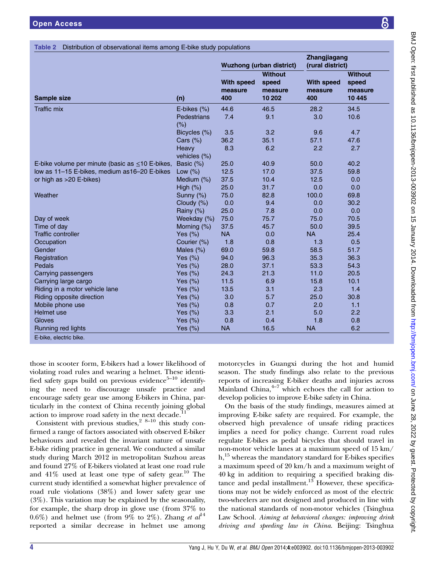### Table 2 Distribution of observational items among E-bike study

|                                                       |                       | <b>Wuzhong (urban district)</b>     |                            | Zhangjiagang<br>(rural district)    |                             |
|-------------------------------------------------------|-----------------------|-------------------------------------|----------------------------|-------------------------------------|-----------------------------|
|                                                       |                       |                                     | <b>Without</b>             |                                     | <b>Without</b>              |
| <b>Sample size</b>                                    | (n)                   | <b>With speed</b><br>measure<br>400 | speed<br>measure<br>10 202 | <b>With speed</b><br>measure<br>400 | speed<br>measure<br>10 4 45 |
| Traffic mix                                           | E-bikes (%)           | 44.6                                | 46.5                       | 28.2                                | 34.5                        |
|                                                       | Pedestrians<br>(% )   | 7.4                                 | 9.1                        | 3.0                                 | 10.6                        |
|                                                       | Bicycles (%)          | 3.5                                 | 3.2                        | 9.6                                 | 4.7                         |
|                                                       | Cars $(\%)$           | 36.2                                | 35.1                       | 57.1                                | 47.6                        |
|                                                       | Heavy<br>vehicles (%) | 8.3                                 | 6.2                        | 2.2                                 | 2.7                         |
| E-bike volume per minute (basic as $\leq$ 10 E-bikes, | Basic (%)             | 25.0                                | 40.9                       | 50.0                                | 40.2                        |
| low as 11-15 E-bikes, medium as16-20 E-bikes          | Low $(%)$             | 12.5                                | 17.0                       | 37.5                                | 59.8                        |
| or high as >20 E-bikes)                               | Medium (%)            | 37.5                                | 10.4                       | 12.5                                | 0.0                         |
|                                                       | High $(\%)$           | 25.0                                | 31.7                       | 0.0                                 | 0.0                         |
| Weather                                               | Sunny (%)             | 75.0                                | 82.8                       | 100.0                               | 69.8                        |
|                                                       | Cloudy (%)            | 0.0                                 | 9.4                        | 0.0                                 | 30.2                        |
|                                                       | Rainy $(\%)$          | 25.0                                | 7.8                        | 0.0                                 | 0.0                         |
| Day of week                                           | Weekday (%)           | 75.0                                | 75.7                       | 75.0                                | 70.5                        |
| Time of dav                                           | Morning $(\%)$        | 37.5                                | 45.7                       | 50.0                                | 39.5                        |
| <b>Traffic controller</b>                             | Yes $(\%)$            | <b>NA</b>                           | 0.0                        | <b>NA</b>                           | 25.4                        |
| Occupation                                            | Courier (%)           | 1.8                                 | 0.8                        | 1.3                                 | 0.5                         |
| Gender                                                | Males $(\%)$          | 69.0                                | 59.8                       | 58.5                                | 51.7                        |
| Registration                                          | Yes $(\%)$            | 94.0                                | 96.3                       | 35.3                                | 36.3                        |
| Pedals                                                | Yes $(\%)$            | 28.0                                | 37.1                       | 53.3                                | 54.3                        |
| Carrying passengers                                   | Yes $(\%)$            | 24.3                                | 21.3                       | 11.0                                | 20.5                        |
| Carrying large cargo                                  | Yes $(\%)$            | 11.5                                | 6.9                        | 15.8                                | 10.1                        |
| Riding in a motor vehicle lane                        | Yes $(\%)$            | 13.5                                | 3.1                        | 2.3                                 | 1.4                         |
| Riding opposite direction                             | Yes $(\%)$            | 3.0                                 | 5.7                        | 25.0                                | 30.8                        |
| Mobile phone use                                      | Yes $(\%)$            | 0.8                                 | 0.7                        | 2.0                                 | 1.1                         |
| Helmet use                                            | Yes $(\%)$            | 3.3                                 | 2.1                        | 5.0                                 | 2.2                         |
| Gloves                                                | Yes $(\%)$            | 0.8                                 | 0.4                        | 1.8                                 | 0.8                         |
| Running red lights                                    | Yes $(\%)$            | <b>NA</b>                           | 16.5                       | NА                                  | 6.2                         |
|                                                       |                       |                                     |                            |                                     |                             |

those in scooter form, E-bikers had a lower likelihood of violating road rules and wearing a helmet. These identified safety gaps build on previous evidence $5-10$  identify ing the need to discourage unsafe practice and encourage safety gear use among E-bikers in China, particularly in the context of China recently joining global action to improve road safety in the next decade.

Consistent with previous studies,  $2^{8-10}$  this study confirmed a range of factors associated with observed E-biker behaviours and revealed the invariant nature of unsafe E-bike riding practice in general. We conducted a similar study during March 2012 in metropolitan Suzhou areas and found 27% of E-bikers violated at least one road rule and  $41\%$  used at least one type of safety gear.<sup>10</sup> The current study identified a somewhat higher prevalence of road rule violations (38%) and lower safety gear use (3%). This variation may be explained by the seasonality, for example, the sharp drop in glove use (from 37% to 0.6%) and helmet use (from 9% to 2%). Zhang et  $al<sup>14</sup>$ reported a similar decrease in helmet use among

Mainland China, $\pm$ <sup>-1</sup> which echoes the call for action to develop policies to improve E-bike safety in China.

On the basis of the study findings, measures aimed at improving E-bike safety are required. For example, the observed high prevalence of unsafe riding practices implies a need for policy change. Current road rules regulate E-bikes as pedal bicycles that should travel in non-motor vehicle lanes at a maximum speed of 15 km/  $h<sup>15</sup>$  whereas the mandatory standard for E-bikes specifies a maximum speed of 20 km/h and a maximum weight of 40 kg in addition to requiring a specified braking distance and pedal installment. $13$  However, these specifications may not be widely enforced as most of the electric two-wheelers are not designed and produced in line with the national standards of non-motor vehicles (Tsinghua Law School. Aiming at behavioral changes: improving drink driving and speeding law in China. Beijing: Tsinghua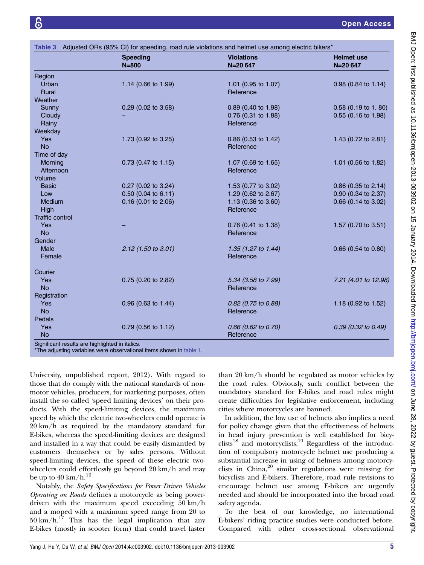|                 | <b>Speeding</b><br>$N = 800$ | <b>Violations</b><br>N=20 647  | <b>Helmet use</b><br>$N = 20647$ |
|-----------------|------------------------------|--------------------------------|----------------------------------|
| Region          |                              |                                |                                  |
| Urban           | 1.14 (0.66 to 1.99)          | 1.01 (0.95 to 1.07)            | $0.98$ (0.84 to 1.14)            |
| Rural           |                              | Reference                      |                                  |
| Weather         |                              |                                |                                  |
| Sunny           | $0.29$ (0.02 to 3.58)        | $0.89$ (0.40 to 1.98)          | $0.58$ (0.19 to 1.80)            |
| Cloudy          |                              | 0.76 (0.31 to 1.88)            | 0.55 (0.16 to 1.98)              |
| Rainy           |                              | Reference                      |                                  |
| Weekday         |                              |                                |                                  |
| <b>Yes</b>      | 1.73 (0.92 to 3.25)          | 0.86 (0.53 to 1.42)            | 1.43 (0.72 to 2.81)              |
| <b>No</b>       |                              | Reference                      |                                  |
| Time of day     |                              |                                |                                  |
| Morning         | 0.73 (0.47 to 1.15)          | 1.07 (0.69 to 1.65)            | 1.01 $(0.56 \text{ to } 1.82)$   |
| Afternoon       |                              | Reference                      |                                  |
| Volume          |                              |                                |                                  |
| <b>Basic</b>    | 0.27 (0.02 to 3.24)          | 1.53 (0.77 to 3.02)            | 0.86 (0.35 to 2.14)              |
| Low             | 0.50 (0.04 to 6.11)          | 1.29 (0.62 to 2.67)            | 0.90 (0.34 to 2.37)              |
| Medium          | 0.16 (0.01 to 2.06)          | 1.13 (0.36 to 3.60)            | 0.66 (0.14 to 3.02)              |
| High            |                              | Reference                      |                                  |
| Traffic control |                              |                                |                                  |
| <b>Yes</b>      |                              | 0.76 (0.41 to 1.38)            | 1.57 (0.70 to 3.51)              |
| <b>No</b>       |                              | Reference                      |                                  |
| Gender          |                              |                                |                                  |
| <b>Male</b>     | $2.12$ (1.50 to 3.01)        | 1.35 $(1.27 \text{ to } 1.44)$ | $0.66$ (0.54 to 0.80)            |
| Female          |                              | Reference                      |                                  |
| Courier         |                              |                                |                                  |
| Yes             | 0.75 (0.20 to 2.82)          | 5.34 (3.58 to 7.99)            | 7.21 (4.01 to 12.98)             |
| <b>No</b>       |                              | Reference                      |                                  |
| Registration    |                              |                                |                                  |
| <b>Yes</b>      | $0.96$ (0.63 to 1.44)        | 0.82 (0.75 to 0.88)            | 1.18 $(0.92 \text{ to } 1.52)$   |
| <b>No</b>       |                              | Reference                      |                                  |
| Pedals          |                              |                                |                                  |
| Yes             | $0.79$ (0.56 to 1.12)        | 0.66 (0.62 to 0.70)            | $0.39$ (0.32 to 0.49)            |
| <b>No</b>       |                              | Reference                      |                                  |

\*The adjusting variables were observational items shown in table 1.

University, unpublished report, 2012). With regard to those that do comply with the national standards of nonmotor vehicles, producers, for marketing purposes, often install the so called 'speed limiting devices' on their products. With the speed-limiting devices, the maximum speed by which the electric two-wheelers could operate is 20 km/h as required by the mandatory standard for E-bikes, whereas the speed-limiting devices are designed and installed in a way that could be easily dismantled by customers themselves or by sales persons. Without speed-limiting devices, the speed of these electric twowheelers could effortlessly go beyond 20 km/h and may be up to  $40 \text{ km/h}$ .<sup>16</sup>

Notably, the Safety Specifications for Power Driven Vehicles Operating on Roads defines a motorcycle as being powerdriven with the maximum speed exceeding 50 km/h and a moped with a maximum speed range from 20 to  $50 \text{ km/h}$ .<sup>17</sup> This has the legal implication that any E-bikes (mostly in scooter form) that could travel faster

than 20 km/h should be regulated as motor vehicles by the road rules. Obviously, such conflict between the mandatory standard for E-bikes and road rules might create difficulties for legislative enforcement, including cities where motorcycles are banned.

In addition, the low use of helmets also implies a need for policy change given that the effectiveness of helmets in head injury prevention is well established for bicy- $\text{clists}^{18}$  and motorcyclists.<sup>19</sup> Regardless of the introduction of compulsory motorcycle helmet use producing a substantial increase in using of helmets among motorcyclists in China, $2^0$  similar regulations were missing for bicyclists and E-bikers. Therefore, road rule revisions to encourage helmet use among E-bikers are urgently needed and should be incorporated into the broad road safety agenda.

To the best of our knowledge, no international E-bikers' riding practice studies were conducted before. Compared with other cross-sectional observational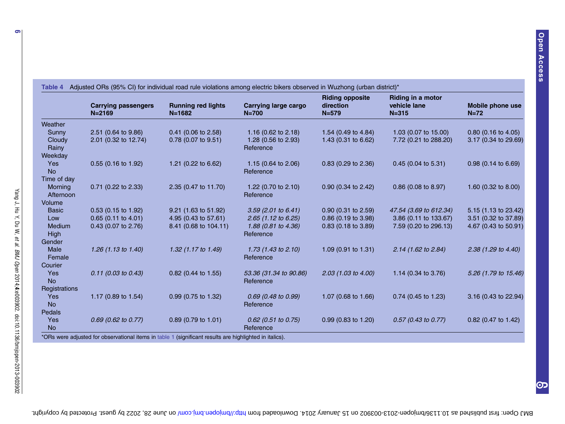|               | <b>Carrying passengers</b><br>$N = 2169$ | <b>Running red lights</b><br>$N = 1682$ | <b>Carrying large cargo</b><br>$N = 700$ | <b>Riding opposite</b><br>direction<br>$N = 579$ | <b>Riding in a motor</b><br>vehicle lane<br>$N = 315$ | Mobile phone use<br>$N=72$ |
|---------------|------------------------------------------|-----------------------------------------|------------------------------------------|--------------------------------------------------|-------------------------------------------------------|----------------------------|
| Weather       |                                          |                                         |                                          |                                                  |                                                       |                            |
| Sunny         | 2.51 (0.64 to 9.86)                      | $0.41$ (0.06 to 2.58)                   | 1.16 (0.62 to $2.18$ )                   | 1.54 (0.49 to 4.84)                              | 1.03 (0.07 to 15.00)                                  | $0.80$ (0.16 to 4.05)      |
| Cloudy        | 2.01 (0.32 to 12.74)                     | 0.78 (0.07 to 9.51)                     | 1.28 (0.56 to 2.93)                      | 1.43 $(0.31 \text{ to } 6.62)$                   | 7.72 (0.21 to 288.20)                                 | 3.17 (0.34 to 29.69)       |
| Rainy         |                                          |                                         | Reference                                |                                                  |                                                       |                            |
| Weekday       |                                          |                                         |                                          |                                                  |                                                       |                            |
| <b>Yes</b>    | 0.55 (0.16 to 1.92)                      | 1.21 (0.22 to 6.62)                     | 1.15 $(0.64 \text{ to } 2.06)$           | $0.83$ (0.29 to 2.36)                            | $0.45$ (0.04 to 5.31)                                 | 0.98 (0.14 to 6.69)        |
| <b>No</b>     |                                          |                                         | Reference                                |                                                  |                                                       |                            |
| Time of day   |                                          |                                         |                                          |                                                  |                                                       |                            |
| Morning       | 0.71 (0.22 to 2.33)                      | 2.35 (0.47 to 11.70)                    | 1.22 $(0.70 \text{ to } 2.10)$           | $0.90$ (0.34 to 2.42)                            | 0.86 (0.08 to 8.97)                                   | 1.60 (0.32 to 8.00)        |
| Afternoon     |                                          |                                         | Reference                                |                                                  |                                                       |                            |
| Volume        |                                          |                                         |                                          |                                                  |                                                       |                            |
| <b>Basic</b>  | $0.53$ (0.15 to 1.92)                    | $9.21$ (1.63 to 51.92)                  | $3.59$ (2.01 to 6.41)                    | $0.90$ (0.31 to 2.59)                            | 47.54 (3.69 to 612.34)                                | 5.15 (1.13 to 23.42)       |
| Low           | $0.65$ (0.11 to 4.01)                    | 4.95 (0.43 to 57.61)                    | $2.65$ (1.12 to 6.25)                    | 0.86 (0.19 to 3.98)                              | 3.86 (0.11 to 133.67)                                 | 3.51 (0.32 to 37.89)       |
| Medium        | 0.43 (0.07 to 2.76)                      | 8.41 (0.68 to 104.11)                   | 1.88 (0.81 to 4.36)                      | $0.83$ (0.18 to 3.89)                            | 7.59 (0.20 to 296.13)                                 | 4.67 (0.43 to 50.91)       |
| <b>High</b>   |                                          |                                         | Reference                                |                                                  |                                                       |                            |
| Gender        |                                          |                                         |                                          |                                                  |                                                       |                            |
| Male          | 1.26 (1.13 to 1.40)                      | 1.32 (1.17 to 1.49)                     | 1.73 $(1.43 \text{ to } 2.10)$           | 1.09 $(0.91 \text{ to } 1.31)$                   | $2.14$ (1.62 to 2.84)                                 | 2.38 (1.29 to 4.40)        |
| Female        |                                          |                                         | Reference                                |                                                  |                                                       |                            |
| Courier       |                                          |                                         |                                          |                                                  |                                                       |                            |
| Yes           | $0.11$ (0.03 to 0.43)                    | $0.82$ (0.44 to 1.55)                   | 53.36 (31.34 to 90.86)                   | $2.03$ (1.03 to 4.00)                            | 1.14 (0.34 to 3.76)                                   | 5.26 (1.79 to 15.46)       |
| <b>No</b>     |                                          |                                         | Reference                                |                                                  |                                                       |                            |
| Registrations |                                          |                                         |                                          |                                                  |                                                       |                            |
| Yes           | 1.17 (0.89 to 1.54)                      | 0.99 (0.75 to 1.32)                     | $0.69$ (0.48 to 0.99)                    | 1.07 (0.68 to 1.66)                              | $0.74$ (0.45 to 1.23)                                 | 3.16 (0.43 to 22.94)       |
| <b>No</b>     |                                          |                                         | Reference                                |                                                  |                                                       |                            |
| Pedals        |                                          |                                         |                                          |                                                  |                                                       |                            |
| Yes           | $0.69$ (0.62 to 0.77)                    | 0.89 (0.79 to 1.01)                     | $0.62$ (0.51 to 0.75)                    | $0.99$ (0.83 to 1.20)                            | $0.57$ (0.43 to 0.77)                                 | $0.82$ (0.47 to 1.42)      |
| <b>No</b>     |                                          |                                         | Reference                                |                                                  |                                                       |                            |

## 4 Adjusted ORs (95% CI) for individual road rule violations among electric bikers observed in Wuzhong (urban district)\*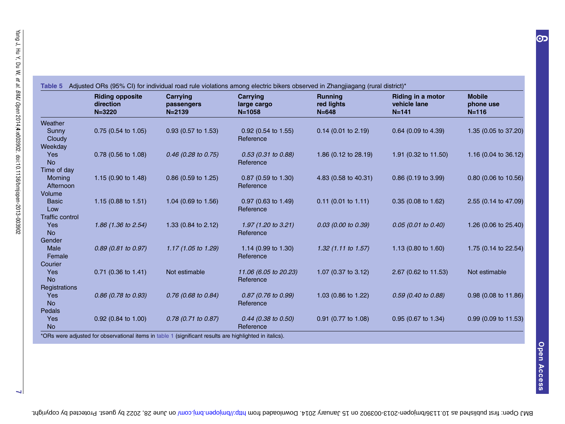|                        | <b>Riding opposite</b><br>direction<br>$N = 3220$ | Carrying<br>passengers<br>$N = 2139$ | Carrying<br>large cargo<br>$N = 1058$       | <b>Running</b><br>red lights<br>$N = 648$ | <b>Riding in a motor</b><br>vehicle lane<br>$N = 141$ | <b>Mobile</b><br>phone use<br>$N = 116$ |
|------------------------|---------------------------------------------------|--------------------------------------|---------------------------------------------|-------------------------------------------|-------------------------------------------------------|-----------------------------------------|
| Weather                |                                                   |                                      |                                             |                                           |                                                       |                                         |
| Sunny<br>Cloudy        | 0.75 (0.54 to 1.05)                               | 0.93 (0.57 to 1.53)                  | $0.92$ (0.54 to 1.55)<br>Reference          | $0.14$ (0.01 to 2.19)                     | 0.64 (0.09 to 4.39)                                   | 1.35 (0.05 to 37.20)                    |
| Weekday                |                                                   |                                      |                                             |                                           |                                                       |                                         |
| Yes<br><b>No</b>       | 0.78 (0.56 to 1.08)                               | $0.46$ (0.28 to 0.75)                | $0.53$ (0.31 to 0.88)<br>Reference          | 1.86 $(0.12 \text{ to } 28.19)$           | 1.91 (0.32 to 11.50)                                  | 1.16 (0.04 to 36.12)                    |
| Time of day            |                                                   |                                      |                                             |                                           |                                                       |                                         |
| Morning<br>Afternoon   | 1.15 $(0.90 \text{ to } 1.48)$                    | $0.86$ (0.59 to 1.25)                | $0.87$ (0.59 to 1.30)<br>Reference          | 4.83 (0.58 to 40.31)                      | $0.86$ (0.19 to 3.99)                                 | 0.80 (0.06 to 10.56)                    |
| Volume                 |                                                   |                                      |                                             |                                           |                                                       |                                         |
| <b>Basic</b><br>Low    | 1.15 (0.88 to 1.51)                               | 1.04 (0.69 to 1.56)                  | $0.97$ (0.63 to 1.49)<br>Reference          | $0.11$ (0.01 to 1.11)                     | $0.35(0.08 \text{ to } 1.62)$                         | 2.55 (0.14 to 47.09)                    |
| <b>Traffic control</b> |                                                   |                                      |                                             |                                           |                                                       |                                         |
| Yes<br><b>No</b>       | 1.86 (1.36 to 2.54)                               | 1.33 (0.84 to 2.12)                  | 1.97 $(1.20 \text{ to } 3.21)$<br>Reference | 0.03 (0.00 to 0.39)                       | $0.05$ (0.01 to 0.40)                                 | 1.26 (0.06 to 25.40)                    |
| Gender                 |                                                   |                                      |                                             |                                           |                                                       |                                         |
| Male<br>Female         | 0.89 (0.81 to 0.97)                               | 1.17 (1.05 to 1.29)                  | 1.14 (0.99 to 1.30)<br>Reference            | $1.32$ (1.11 to 1.57)                     | 1.13 (0.80 to 1.60)                                   | 1.75 (0.14 to 22.54)                    |
| Courier                |                                                   |                                      |                                             |                                           |                                                       |                                         |
| Yes<br><b>No</b>       | 0.71 (0.36 to 1.41)                               | Not estimable                        | 11.06 (6.05 to 20.23)<br>Reference          | 1.07 (0.37 to 3.12)                       | 2.67 (0.62 to 11.53)                                  | Not estimable                           |
| Registrations          |                                                   |                                      |                                             |                                           |                                                       |                                         |
| Yes<br><b>No</b>       | $0.86$ (0.78 to 0.93)                             | $0.76$ (0.68 to 0.84)                | $0.87$ (0.76 to 0.99)<br>Reference          | 1.03 (0.86 to 1.22)                       | $0.59$ (0.40 to 0.88)                                 | 0.98 (0.08 to 11.86)                    |
| Pedals                 |                                                   |                                      |                                             |                                           |                                                       |                                         |
| Yes<br><b>No</b>       | $0.92$ (0.84 to 1.00)                             | $0.78$ (0.71 to 0.87)                | $0.44$ (0.38 to 0.50)<br>Reference          | 0.91 (0.77 to 1.08)                       | $0.95$ (0.67 to 1.34)                                 | 0.99 (0.09 to 11.53)                    |

 $\overline{\phantom{0}}$